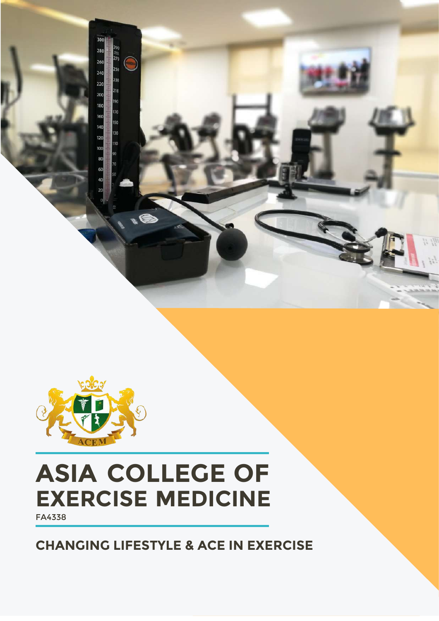

 $\begin{array}{c}\n\overline{11} \\
\overline{270}\n\end{array}$ 

190<br>170

C

## **ASIA COLLEGE OF EXERCISE MEDICINE**

FA4338

#### **CHANGING LIFESTYLE & ACE IN EXERCISE**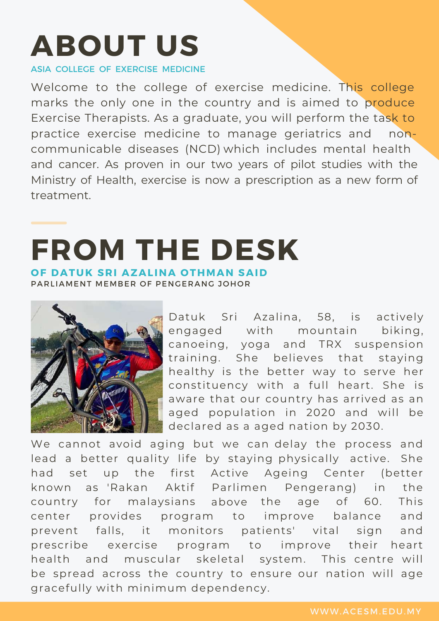# **ABOUT US**

ASIA COLLEGE OF EXERCISE MEDICINE

Welcome to the college of exercise medicine. This college marks the only one in the country and is aimed to produce Exercise Therapists. As a graduate, you will perform the task to practice exercise medicine to manage geriatrics and noncommunicable diseases (NCD) which includes mental health and cancer. As proven in our two years of pilot studies with the Ministry of Health, exercise is now a prescription as a new form of treatment.

## **FROM THE DESK OF DATUK SRI AZALINA OTHMAN SAID**

PARI IAMENT MEMBER OF PENGERANG JOHOR



Datuk Sri Azalina, 58, is actively engaged with mountain biking, canoeing, yoga and TRX suspension training. She believes that staying healthy is the better way to serve her constituency with a full heart. She is aware that our country has arrived as an aged population in 2020 and will be declared as a aged nation by 2030.

We cannot avoid aging but we can delay the process and lead a better quality life by staying physically active. She had set up the first Active Ageing Center (better known as 'Rakan Aktif Parlimen Pengerang) in the country for malaysians above the age of 60. This center provides program to improve balance and prevent falls, it monitors patients' vital sign and prescribe exercise program to improve their heart health and muscular skeletal system. This centre will be spread across the country to ensure our nation will age gracefully with minimum dependency.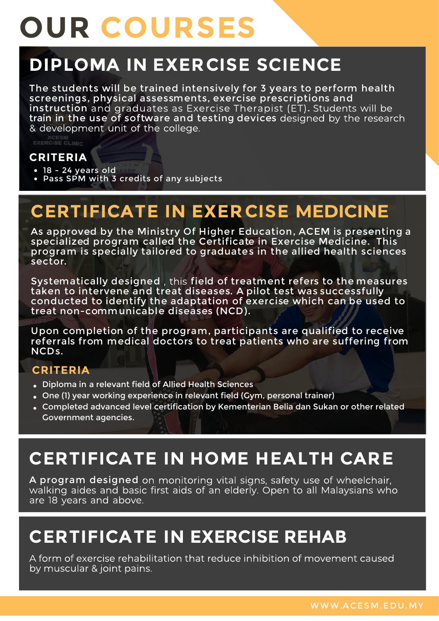# **OUR COURSES**

## **DIPLOMA IN EXERCISE SCIENCE**

The students will be trained intensively for 3 years to perform health screenings, physical assessments, exercise prescriptions and instruction and graduates as Exercise Therapist (ET). Students will be train in the use of software and testing devices designed by the research & development unit of the college.

#### **CRITERIA**

- $\bullet$  18 24 years old
- Pass SPM with 3 credits of any subjects

### **CERTIFICATE IN EXER CISE**

As approved by the Ministry Of Higher Education, ACEM is presenting a specialized program called the Certificate in Exercise Medicine. This program is specially tailored to graduates in the allied health sciences sector.

Systematically designed, this field of treatment refers to the measures taken to intervene and treat diseases. A pilot test was successfully conducted to identify the adaptation of exercise which can be used to treat non-communicable diseases (NCD).

Upon completion of the program, participants are qualified to receive referrals from medical doctors to treat patients who are suffering from NCDs.

#### **CRITERIA**

- Diploma in a relevant field of Allied Health Sciences
- One (1) year working experience in relevant field (Gym, personal trainer)
- Completed advanced level certification by Kementerian Belia dan Sukan or other related Government agencies.

### **CERTIFICATE IN HOME HEALTH CARE**

A program designed on monitoring vital signs, safety use of wheelchair, walking aides and basic first aids of an elderly. Open to all Malaysians who are 18 years and above.

### **CERTIFICATE IN EXERCISE REHAB**

A form of exercise rehabilitation that reduce inhibition of movement caused by muscular & joint pains.